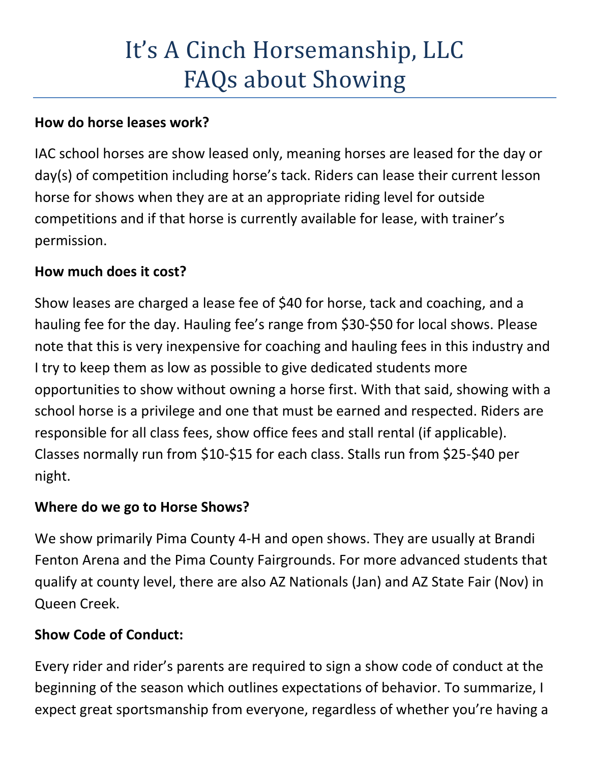# It's A Cinch Horsemanship, LLC FAQs about Showing

## **How do horse leases work?**

IAC school horses are show leased only, meaning horses are leased for the day or day(s) of competition including horse's tack. Riders can lease their current lesson horse for shows when they are at an appropriate riding level for outside competitions and if that horse is currently available for lease, with trainer's permission.

## **How much does it cost?**

Show leases are charged a lease fee of \$40 for horse, tack and coaching, and a hauling fee for the day. Hauling fee's range from \$30-\$50 for local shows. Please note that this is very inexpensive for coaching and hauling fees in this industry and I try to keep them as low as possible to give dedicated students more opportunities to show without owning a horse first. With that said, showing with a school horse is a privilege and one that must be earned and respected. Riders are responsible for all class fees, show office fees and stall rental (if applicable). Classes normally run from \$10-\$15 for each class. Stalls run from \$25-\$40 per night.

## **Where do we go to Horse Shows?**

We show primarily Pima County 4-H and open shows. They are usually at Brandi Fenton Arena and the Pima County Fairgrounds. For more advanced students that qualify at county level, there are also AZ Nationals (Jan) and AZ State Fair (Nov) in Queen Creek.

## **Show Code of Conduct:**

Every rider and rider's parents are required to sign a show code of conduct at the beginning of the season which outlines expectations of behavior. To summarize, I expect great sportsmanship from everyone, regardless of whether you're having a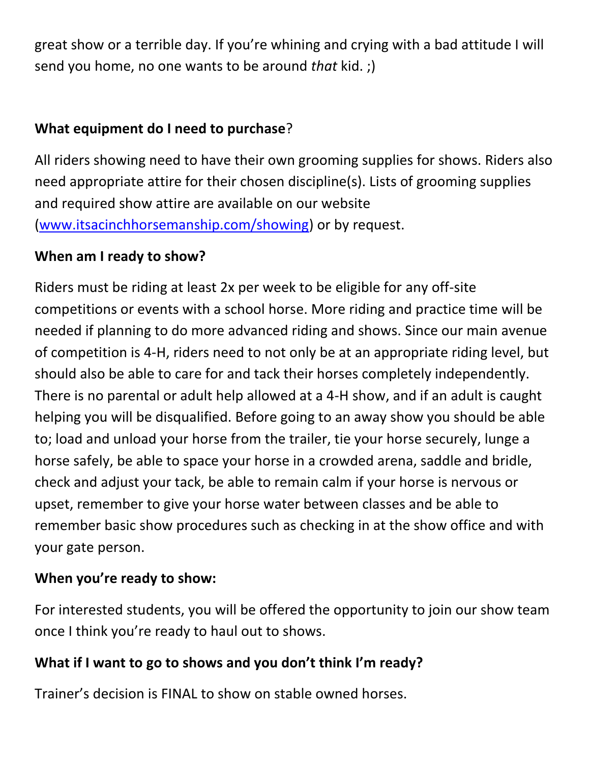great show or a terrible day. If you're whining and crying with a bad attitude I will send you home, no one wants to be around *that* kid. ;)

## **What equipment do I need to purchase**?

All riders showing need to have their own grooming supplies for shows. Riders also need appropriate attire for their chosen discipline(s). Lists of grooming supplies and required show attire are available on our website [\(www.itsacinchhorsemanship.com/showing\)](http://www.itsacinchhorsemanship.com/showing) or by request.

#### **When am I ready to show?**

Riders must be riding at least 2x per week to be eligible for any off-site competitions or events with a school horse. More riding and practice time will be needed if planning to do more advanced riding and shows. Since our main avenue of competition is 4-H, riders need to not only be at an appropriate riding level, but should also be able to care for and tack their horses completely independently. There is no parental or adult help allowed at a 4-H show, and if an adult is caught helping you will be disqualified. Before going to an away show you should be able to; load and unload your horse from the trailer, tie your horse securely, lunge a horse safely, be able to space your horse in a crowded arena, saddle and bridle, check and adjust your tack, be able to remain calm if your horse is nervous or upset, remember to give your horse water between classes and be able to remember basic show procedures such as checking in at the show office and with your gate person.

## **When you're ready to show:**

For interested students, you will be offered the opportunity to join our show team once I think you're ready to haul out to shows.

## **What if I want to go to shows and you don't think I'm ready?**

Trainer's decision is FINAL to show on stable owned horses.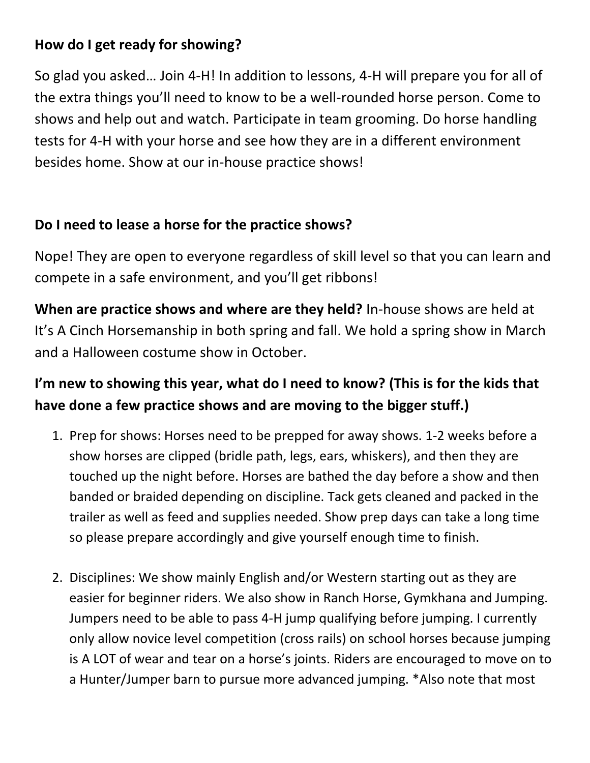## **How do I get ready for showing?**

So glad you asked… Join 4-H! In addition to lessons, 4-H will prepare you for all of the extra things you'll need to know to be a well-rounded horse person. Come to shows and help out and watch. Participate in team grooming. Do horse handling tests for 4-H with your horse and see how they are in a different environment besides home. Show at our in-house practice shows!

## **Do I need to lease a horse for the practice shows?**

Nope! They are open to everyone regardless of skill level so that you can learn and compete in a safe environment, and you'll get ribbons!

**When are practice shows and where are they held?** In-house shows are held at It's A Cinch Horsemanship in both spring and fall. We hold a spring show in March and a Halloween costume show in October.

## **I'm new to showing this year, what do I need to know? (This is for the kids that have done a few practice shows and are moving to the bigger stuff.)**

- 1. Prep for shows: Horses need to be prepped for away shows. 1-2 weeks before a show horses are clipped (bridle path, legs, ears, whiskers), and then they are touched up the night before. Horses are bathed the day before a show and then banded or braided depending on discipline. Tack gets cleaned and packed in the trailer as well as feed and supplies needed. Show prep days can take a long time so please prepare accordingly and give yourself enough time to finish.
- 2. Disciplines: We show mainly English and/or Western starting out as they are easier for beginner riders. We also show in Ranch Horse, Gymkhana and Jumping. Jumpers need to be able to pass 4-H jump qualifying before jumping. I currently only allow novice level competition (cross rails) on school horses because jumping is A LOT of wear and tear on a horse's joints. Riders are encouraged to move on to a Hunter/Jumper barn to pursue more advanced jumping. \*Also note that most